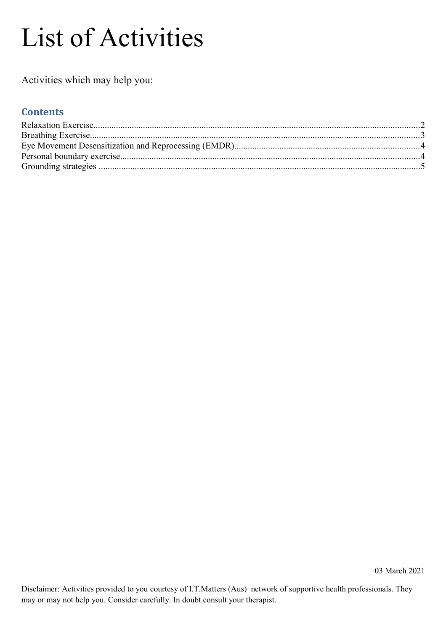# List of Activities

Activities which may help you:

#### **Contents**

Disclaimer: Activities provided to you courtesy of I.T.Matters (Aus) network of supportive health professionals. They may or may not help you. Consider carefully. In doubt consult your therapist.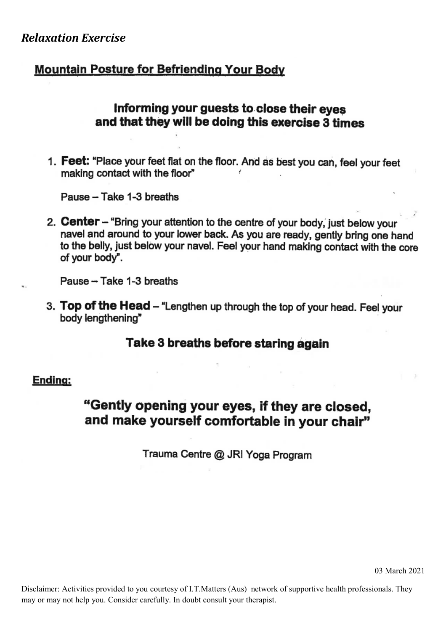## <span id="page-1-0"></span>**Relaxation Exercise**

# **Mountain Posture for Befriending Your Body**

## Informing your guests to close their eves and that they will be doing this exercise 3 times

1. Feet: "Place your feet flat on the floor. And as best you can, feel your feet making contact with the floor"

Pause - Take 1-3 breaths

2. Center - "Bring your attention to the centre of your body, just below your navel and around to your lower back. As you are ready, gently bring one hand to the belly, just below your navel. Feel your hand making contact with the core of your body".

Pause - Take 1-3 breaths

3. Top of the Head - "Lengthen up through the top of your head. Feel your body lengthening"

#### Take 3 breaths before staring again

#### Ending:

# "Gently opening your eyes, if they are closed, and make yourself comfortable in your chair"

Trauma Centre @ JRI Yoga Program

03 March 2021

Disclaimer: Activities provided to you courtesy of I.T.Matters (Aus) network of supportive health professionals. They may or may not help you. Consider carefully. In doubt consult your therapist.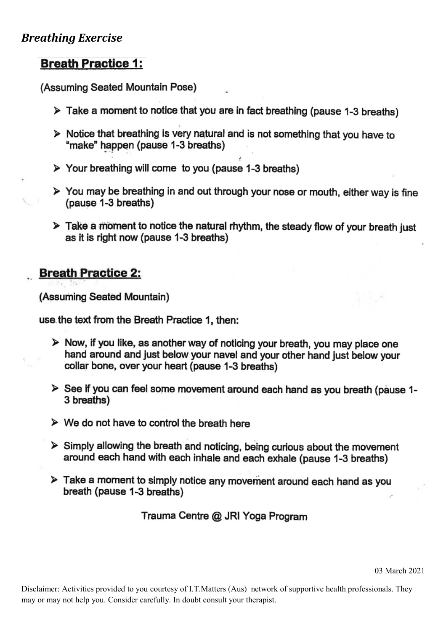## <span id="page-2-0"></span>**Breathing Exercise**

## **Breath Practice 1:**

(Assuming Seated Mountain Pose)

- $\triangleright$  Take a moment to notice that you are in fact breathing (pause 1-3 breaths)
- > Notice that breathing is very natural and is not something that you have to "make" happen (pause 1-3 breaths)
- > Your breathing will come to you (pause 1-3 breaths)
- > You may be breathing in and out through your nose or mouth, either way is fine (pause 1-3 breaths)
- $\triangleright$  Take a moment to notice the natural rhythm, the steady flow of your breath just as it is right now (pause 1-3 breaths)

## **Breath Practice 2:**

(Assuming Seated Mountain)

use the text from the Breath Practice 1, then:

- > Now, if you like, as another way of noticing your breath, you may place one hand around and just below your navel and your other hand just below your collar bone, over your heart (pause 1-3 breaths)
- > See if you can feel some movement around each hand as you breath (pause 1-3 breaths)
- $\triangleright$  We do not have to control the breath here
- $\triangleright$  Simply allowing the breath and noticing, being curious about the movement around each hand with each inhale and each exhale (pause 1-3 breaths)
- $\triangleright$  Take a moment to simply notice any movement around each hand as you breath (pause 1-3 breaths)

Trauma Centre @ JRI Yoga Program

03 March 2021

Disclaimer: Activities provided to you courtesy of I.T.Matters (Aus) network of supportive health professionals. They may or may not help you. Consider carefully. In doubt consult your therapist.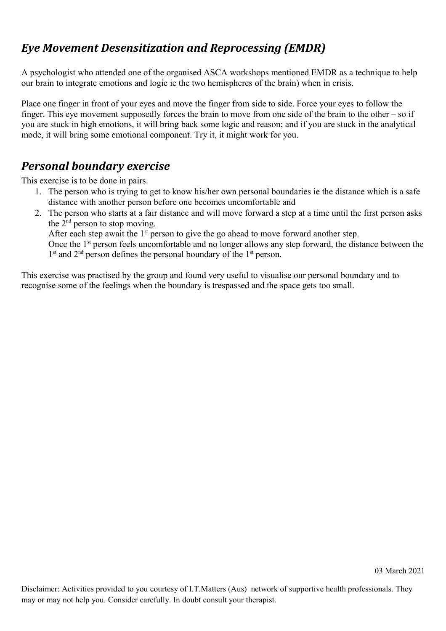# <span id="page-3-1"></span>*Eye Movement Desensitization and Reprocessing (EMDR)*

A psychologist who attended one of the organised ASCA workshops mentioned EMDR as a technique to help our brain to integrate emotions and logic ie the two hemispheres of the brain) when in crisis.

Place one finger in front of your eyes and move the finger from side to side. Force your eyes to follow the finger. This eye movement supposedly forces the brain to move from one side of the brain to the other – so if you are stuck in high emotions, it will bring back some logic and reason; and if you are stuck in the analytical mode, it will bring some emotional component. Try it, it might work for you.

# <span id="page-3-0"></span>*Personal boundary exercise*

This exercise is to be done in pairs.

- 1. The person who is trying to get to know his/her own personal boundaries ie the distance which is a safe distance with another person before one becomes uncomfortable and
- 2. The person who starts at a fair distance and will move forward a step at a time until the first person asks the  $2<sup>nd</sup>$  person to stop moving. After each step await the  $1<sup>st</sup>$  person to give the go ahead to move forward another step.

Once the 1<sup>st</sup> person feels uncomfortable and no longer allows any step forward, the distance between the 1<sup>st</sup> and 2<sup>nd</sup> person defines the personal boundary of the 1<sup>st</sup> person.

This exercise was practised by the group and found very useful to visualise our personal boundary and to recognise some of the feelings when the boundary is trespassed and the space gets too small.